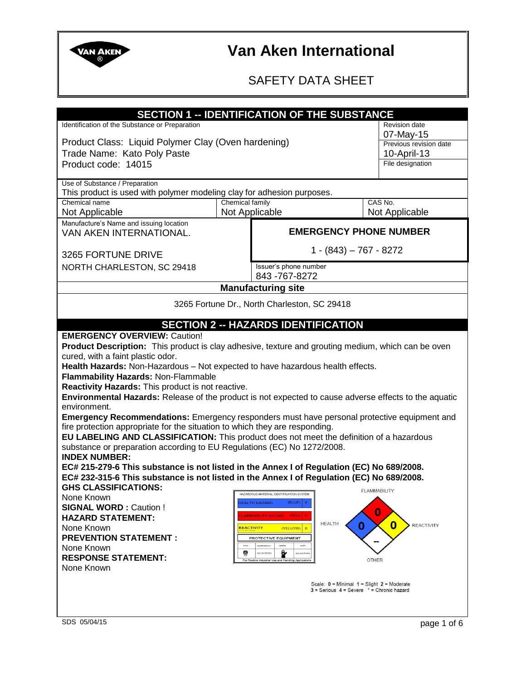

### SAFETY DATA SHEET

|                                                                                                       | <b>SECTION 1 -- IDENTIFICATION OF THE SUBSTANCE</b>                                                 |                               |
|-------------------------------------------------------------------------------------------------------|-----------------------------------------------------------------------------------------------------|-------------------------------|
| Identification of the Substance or Preparation                                                        |                                                                                                     | <b>Revision date</b>          |
|                                                                                                       |                                                                                                     | 07-May-15                     |
| Product Class: Liquid Polymer Clay (Oven hardening)                                                   |                                                                                                     | Previous revision date        |
| Trade Name: Kato Poly Paste                                                                           |                                                                                                     | 10-April-13                   |
| Product code: 14015                                                                                   |                                                                                                     | File designation              |
| Use of Substance / Preparation                                                                        |                                                                                                     |                               |
| This product is used with polymer modeling clay for adhesion purposes.                                |                                                                                                     |                               |
| Chemical name                                                                                         | Chemical family                                                                                     | CAS No.                       |
| Not Applicable                                                                                        | Not Applicable                                                                                      | Not Applicable                |
| Manufacture's Name and issuing location                                                               |                                                                                                     |                               |
| VAN AKEN INTERNATIONAL.                                                                               | <b>EMERGENCY PHONE NUMBER</b>                                                                       |                               |
|                                                                                                       |                                                                                                     |                               |
| 3265 FORTUNE DRIVE                                                                                    | $1 - (843) - 767 - 8272$                                                                            |                               |
| NORTH CHARLESTON, SC 29418                                                                            | Issuer's phone number                                                                               |                               |
|                                                                                                       | 843-767-8272                                                                                        |                               |
|                                                                                                       | <b>Manufacturing site</b>                                                                           |                               |
|                                                                                                       | 3265 Fortune Dr., North Charleston, SC 29418                                                        |                               |
|                                                                                                       |                                                                                                     |                               |
|                                                                                                       | <b>SECTION 2 -- HAZARDS IDENTIFICATION</b>                                                          |                               |
| <b>EMERGENCY OVERVIEW: Caution!</b>                                                                   |                                                                                                     |                               |
| Product Description: This product is clay adhesive, texture and grouting medium, which can be oven    |                                                                                                     |                               |
| cured, with a faint plastic odor.                                                                     |                                                                                                     |                               |
| Health Hazards: Non-Hazardous - Not expected to have hazardous health effects.                        |                                                                                                     |                               |
| Flammability Hazards: Non-Flammable                                                                   |                                                                                                     |                               |
| Reactivity Hazards: This product is not reactive.                                                     |                                                                                                     |                               |
| Environmental Hazards: Release of the product is not expected to cause adverse effects to the aquatic |                                                                                                     |                               |
| environment.                                                                                          |                                                                                                     |                               |
| Emergency Recommendations: Emergency responders must have personal protective equipment and           |                                                                                                     |                               |
| fire protection appropriate for the situation to which they are responding.                           |                                                                                                     |                               |
| EU LABELING AND CLASSIFICATION: This product does not meet the definition of a hazardous              |                                                                                                     |                               |
| substance or preparation according to EU Regulations (EC) No 1272/2008.                               |                                                                                                     |                               |
| <b>INDEX NUMBER:</b>                                                                                  |                                                                                                     |                               |
| EC# 215-279-6 This substance is not listed in the Annex I of Regulation (EC) No 689/2008.             |                                                                                                     |                               |
| EC# 232-315-6 This substance is not listed in the Annex I of Regulation (EC) No 689/2008.             |                                                                                                     |                               |
| <b>GHS CLASSIFICATIONS:</b>                                                                           | <b>FLAMMABILITY</b><br>HAZARDOUS MATERIAL IDENTIFICATION SYSTEM                                     |                               |
| None Known                                                                                            | (BLUE)<br><b>EALTH HAZARD</b>                                                                       |                               |
| <b>SIGNAL WORD: Caution!</b>                                                                          | O<br>AMMABILITY HAZARD<br>(RED)                                                                     |                               |
| <b>HAZARD STATEMENT:</b>                                                                              | <b>HEALTH</b><br>0                                                                                  | $\bf{0}$<br><b>REACTIVITY</b> |
| None Known                                                                                            | <b>REACTIVITY</b><br>(YELLOW)                                                                       |                               |
| <b>PREVENTION STATEMENT:</b>                                                                          | PROTECTIVE EQUIPMENT<br>ESPIRATORY                                                                  |                               |
| None Known<br><b>RESPONSE STATEMENT:</b>                                                              | 9<br>SEE SECTION 6                                                                                  |                               |
| None Known                                                                                            | <b>OTHER</b><br>For Routine Industrial Use and Handling Applications                                |                               |
|                                                                                                       |                                                                                                     |                               |
|                                                                                                       | Scale: $0 =$ Minimal $1 =$ Slight $2 =$ Moderate<br>$3 =$ Serious $4 =$ Severe $* =$ Chronic hazard |                               |
|                                                                                                       |                                                                                                     |                               |
|                                                                                                       |                                                                                                     |                               |
| SDS 05/04/15                                                                                          |                                                                                                     | page 1 of 6                   |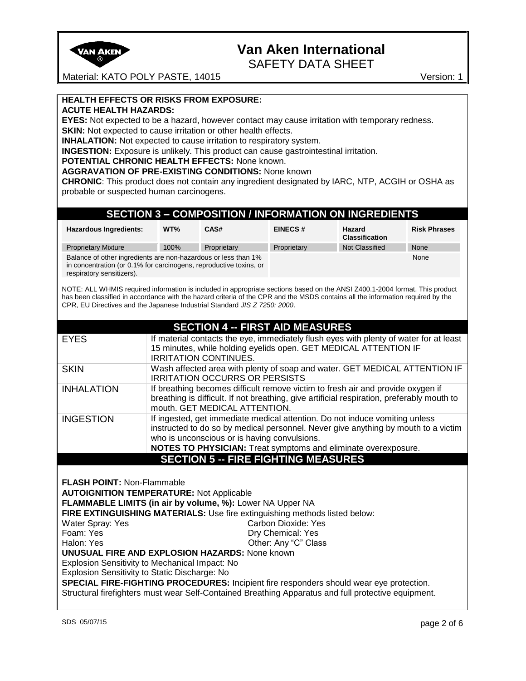

SAFETY DATA SHEET

Material: KATO POLY PASTE, 14015 Version: 1

### **HEALTH EFFECTS OR RISKS FROM EXPOSURE:**

**ACUTE HEALTH HAZARDS:** 

**EYES:** Not expected to be a hazard, however contact may cause irritation with temporary redness. **SKIN:** Not expected to cause irritation or other health effects.

**INHALATION:** Not expected to cause irritation to respiratory system.

**INGESTION:** Exposure is unlikely. This product can cause gastrointestinal irritation.

#### **POTENTIAL CHRONIC HEALTH EFFECTS:** None known.

**AGGRAVATION OF PRE-EXISTING CONDITIONS:** None known

**CHRONIC**: This product does not contain any ingredient designated by IARC, NTP, ACGIH or OSHA as probable or suspected human carcinogens.

### **SECTION 3 – COMPOSITION / INFORMATION ON INGREDIENTS**

| <b>Hazardous Ingredients:</b>                                                                                                                                     | WT%  | CAS#        | <b>EINECS#</b> | Hazard<br><b>Classification</b> | <b>Risk Phrases</b> |
|-------------------------------------------------------------------------------------------------------------------------------------------------------------------|------|-------------|----------------|---------------------------------|---------------------|
| <b>Proprietary Mixture</b>                                                                                                                                        | 100% | Proprietary | Proprietary    | <b>Not Classified</b>           | None                |
| Balance of other ingredients are non-hazardous or less than 1%<br>in concentration (or 0.1% for carcinogens, reproductive toxins, or<br>respiratory sensitizers). |      |             |                | None                            |                     |

NOTE: ALL WHMIS required information is included in appropriate sections based on the ANSI Z400.1-2004 format. This product has been classified in accordance with the hazard criteria of the CPR and the MSDS contains all the information required by the CPR, EU Directives and the Japanese Industrial Standard *JIS Z 7250: 2000*.

|                   | <b>SECTION 4 -- FIRST AID MEASURES</b>                                                                                                                                                                                                                                              |
|-------------------|-------------------------------------------------------------------------------------------------------------------------------------------------------------------------------------------------------------------------------------------------------------------------------------|
| <b>EYES</b>       | If material contacts the eye, immediately flush eyes with plenty of water for at least<br>15 minutes, while holding eyelids open. GET MEDICAL ATTENTION IF<br><b>IRRITATION CONTINUES.</b>                                                                                          |
| <b>SKIN</b>       | Wash affected area with plenty of soap and water. GET MEDICAL ATTENTION IF<br><b>IRRITATION OCCURRS OR PERSISTS</b>                                                                                                                                                                 |
| <b>INHALATION</b> | If breathing becomes difficult remove victim to fresh air and provide oxygen if<br>breathing is difficult. If not breathing, give artificial respiration, preferably mouth to<br>mouth. GET MEDICAL ATTENTION.                                                                      |
| <b>INGESTION</b>  | If ingested, get immediate medical attention. Do not induce vomiting unless<br>instructed to do so by medical personnel. Never give anything by mouth to a victim<br>who is unconscious or is having convulsions.<br>NOTES TO PHYSICIAN: Treat symptoms and eliminate overexposure. |
|                   | <b>SECTION 5 -- FIRE FIGHTING MEASURES</b>                                                                                                                                                                                                                                          |

**FLASH POINT:** Non-Flammable

**AUTOIGNITION TEMPERATURE:** Not Applicable

**FLAMMABLE LIMITS (in air by volume, %):** Lower NA Upper NA

**FIRE EXTINGUISHING MATERIALS:** Use fire extinguishing methods listed below:

Water Spray: Yes Carbon Dioxide: Yes Foam: Yes Dry Chemical: Yes

Halon: Yes **Canadian Community** Community Community Community Community Community Community Community Community Community Community Community Community Community Community Community Community Community Community Community

**UNUSUAL FIRE AND EXPLOSION HAZARDS:** None known

Explosion Sensitivity to Mechanical Impact: No

Explosion Sensitivity to Static Discharge: No

**SPECIAL FIRE-FIGHTING PROCEDURES:** Incipient fire responders should wear eye protection. Structural firefighters must wear Self-Contained Breathing Apparatus and full protective equipment.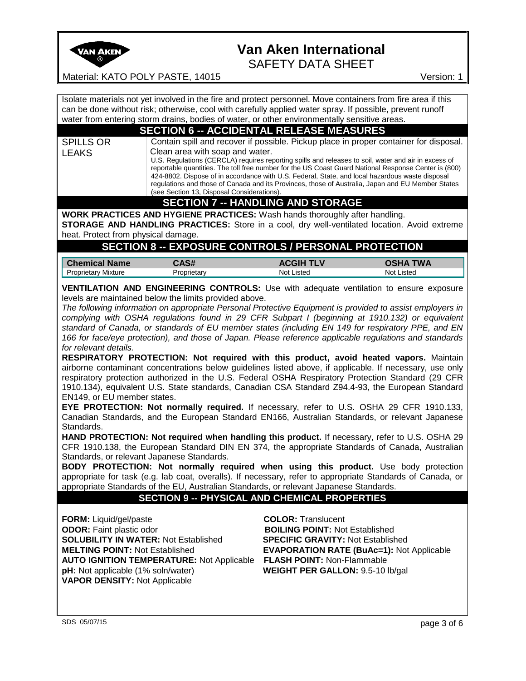

SAFETY DATA SHEET

Material: KATO POLY PASTE, 14015 Version: 1

Isolate materials not yet involved in the fire and protect personnel. Move containers from fire area if this can be done without risk; otherwise, cool with carefully applied water spray. If possible, prevent runoff water from entering storm drains, bodies of water, or other environmentally sensitive areas.

### **SECTION 6 -- ACCIDENTAL RELEASE MEASURES**

SPILLS OR LEAKS Contain spill and recover if possible. Pickup place in proper container for disposal. Clean area with soap and water. U.S. Regulations (CERCLA) requires reporting spills and releases to soil, water and air in excess of reportable quantities. The toll free number for the US Coast Guard National Response Center is (800) 424-8802. Dispose of in accordance with U.S. Federal, State, and local hazardous waste disposal

regulations and those of Canada and its Provinces, those of Australia, Japan and EU Member States (see Section 13, Disposal Considerations).

### **SECTION 7 -- HANDLING AND STORAGE**

**WORK PRACTICES AND HYGIENE PRACTICES:** Wash hands thoroughly after handling. **STORAGE AND HANDLING PRACTICES:** Store in a cool, dry well-ventilated location. Avoid extreme

heat. Protect from physical damage.

#### **SECTION 8 -- EXPOSURE CONTROLS / PERSONAL PROTECTION**

| <b>Chemical Name</b>     | $AA$ C $P$ | ACGII      | <b>WA</b>  |
|--------------------------|------------|------------|------------|
| ' Mixture<br>Proprietary | roprietarv | Not Listed | Not Listed |

**VENTILATION AND ENGINEERING CONTROLS:** Use with adequate ventilation to ensure exposure levels are maintained below the limits provided above.

*The following information on appropriate Personal Protective Equipment is provided to assist employers in complying with OSHA regulations found in 29 CFR Subpart I (beginning at 1910.132) or equivalent standard of Canada, or standards of EU member states (including EN 149 for respiratory PPE, and EN 166 for face/eye protection), and those of Japan. Please reference applicable regulations and standards for relevant details.* 

**RESPIRATORY PROTECTION: Not required with this product, avoid heated vapors.** Maintain airborne contaminant concentrations below guidelines listed above, if applicable. If necessary, use only respiratory protection authorized in the U.S. Federal OSHA Respiratory Protection Standard (29 CFR 1910.134), equivalent U.S. State standards, Canadian CSA Standard Z94.4-93, the European Standard EN149, or EU member states.

**EYE PROTECTION: Not normally required.** If necessary, refer to U.S. OSHA 29 CFR 1910.133, Canadian Standards, and the European Standard EN166, Australian Standards, or relevant Japanese Standards.

**HAND PROTECTION: Not required when handling this product.** If necessary, refer to U.S. OSHA 29 CFR 1910.138, the European Standard DIN EN 374, the appropriate Standards of Canada, Australian Standards, or relevant Japanese Standards.

**BODY PROTECTION: Not normally required when using this product.** Use body protection appropriate for task (e.g. lab coat, overalls). If necessary, refer to appropriate Standards of Canada, or appropriate Standards of the EU, Australian Standards, or relevant Japanese Standards.

#### **SECTION 9 -- PHYSICAL AND CHEMICAL PROPERTIES**

**FORM:** Liquid/gel/paste **COLOR:** Translucent **ODOR:** Faint plastic odor **BOILING POINT:** Not Established **SOLUBILITY IN WATER:** Not Established **SPECIFIC GRAVITY:** Not Established **MELTING POINT:** Not Established **EVAPORATION RATE (BuAc=1):** Not Applicable **AUTO IGNITION TEMPERATURE:** Not Applicable **FLASH POINT:** Non-Flammable **pH:** Not applicable (1% soln/water) **WEIGHT PER GALLON:** 9.5-10 lb/gal **VAPOR DENSITY:** Not Applicable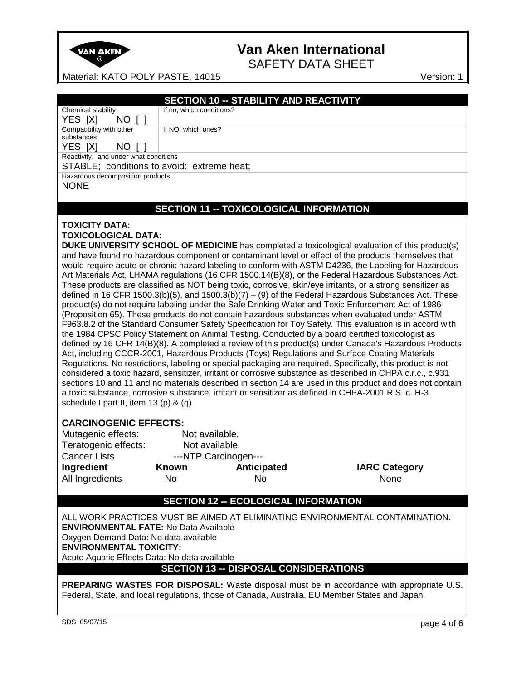

SAFETY DATA SHEET

Material: KATO POLY PASTE, 14015 Version: 1

|  | <b>SECTION 10 -- STABILITY AND REACTIVITY</b> |
|--|-----------------------------------------------|
|  |                                               |

|                                            | <u>ULUI IV – UIADILII I AND NLAVIIVII I</u> |  |
|--------------------------------------------|---------------------------------------------|--|
| Chemical stability                         | If no, which conditions?                    |  |
| YES [X]<br>NO [ ]                          |                                             |  |
| Compatibility with other<br>substances     | If NO, which ones?                          |  |
| YES [X]<br>NO I 1                          |                                             |  |
| Reactivity, and under what conditions      |                                             |  |
| STABLE; conditions to avoid: extreme heat; |                                             |  |

Hazardous decomposition products

NONE

#### **SECTION 11 -- TOXICOLOGICAL INFORMATION**

#### **TOXICITY DATA:**

#### **TOXICOLOGICAL DATA:**

**DUKE UNIVERSITY SCHOOL OF MEDICINE** has completed a toxicological evaluation of this product(s) and have found no hazardous component or contaminant level or effect of the products themselves that would require acute or chronic hazard labeling to conform with ASTM D4236, the Labeling for Hazardous Art Materials Act, LHAMA regulations (16 CFR 1500.14(B)(8), or the Federal Hazardous Substances Act. These products are classified as NOT being toxic, corrosive, skin/eye irritants, or a strong sensitizer as defined in 16 CFR 1500.3(b)(5), and 1500.3(b)(7) – (9) of the Federal Hazardous Substances Act. These product(s) do not require labeling under the Safe Drinking Water and Toxic Enforcement Act of 1986 (Proposition 65). These products do not contain hazardous substances when evaluated under ASTM F963.8.2 of the Standard Consumer Safety Specification for Toy Safety. This evaluation is in accord with the 1984 CPSC Policy Statement on Animal Testing. Conducted by a board certified toxicologist as defined by 16 CFR 14(B)(8). A completed a review of this product(s) under Canada's Hazardous Products Act, including CCCR-2001, Hazardous Products (Toys) Regulations and Surface Coating Materials Regulations. No restrictions, labeling or special packaging are required. Specifically, this product is not considered a toxic hazard, sensitizer, irritant or corrosive substance as described in CHPA c.r.c., c.931 sections 10 and 11 and no materials described in section 14 are used in this product and does not contain a toxic substance, corrosive substance, irritant or sensitizer as defined in CHPA-2001 R.S. c. H-3 schedule I part II, item 13 (p) & (q).

#### **CARCINOGENIC EFFECTS:**

| Mutagenic effects:   | Not available.       |             |                  |
|----------------------|----------------------|-------------|------------------|
| Teratogenic effects: | Not available.       |             |                  |
| <b>Cancer Lists</b>  | ---NTP Carcinogen--- |             |                  |
| Ingredient           | Known                | Anticipated | <b>IARC Cate</b> |
| All Ingredients      | No                   | N٥          | None             |

**IARC Category** 

#### **SECTION 12 -- ECOLOGICAL INFORMATION**

ALL WORK PRACTICES MUST BE AIMED AT ELIMINATING ENVIRONMENTAL CONTAMINATION. **ENVIRONMENTAL FATE:** No Data Available Oxygen Demand Data: No data available **ENVIRONMENTAL TOXICITY:**  Acute Aquatic Effects Data: No data available **SECTION 13 -- DISPOSAL CONSIDERATIONS**

**PREPARING WASTES FOR DISPOSAL:** Waste disposal must be in accordance with appropriate U.S. Federal, State, and local regulations, those of Canada, Australia, EU Member States and Japan.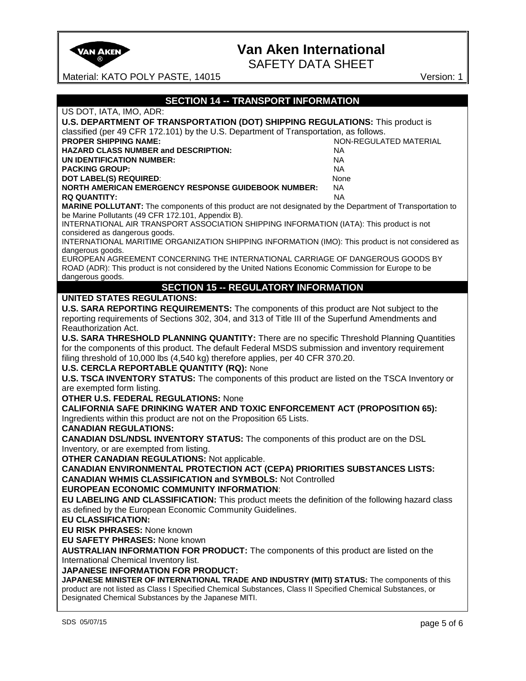

SAFETY DATA SHEET

Material: KATO POLY PASTE, 14015 Version: 1

| <b>SECTION 14 -- TRANSPORT INFORMATION</b>                                                                                                                                              |
|-----------------------------------------------------------------------------------------------------------------------------------------------------------------------------------------|
| US DOT, IATA, IMO, ADR:                                                                                                                                                                 |
| U.S. DEPARTMENT OF TRANSPORTATION (DOT) SHIPPING REGULATIONS: This product is                                                                                                           |
| classified (per 49 CFR 172.101) by the U.S. Department of Transportation, as follows.                                                                                                   |
| <b>PROPER SHIPPING NAME:</b><br>NON-REGULATED MATERIAL                                                                                                                                  |
| <b>HAZARD CLASS NUMBER and DESCRIPTION:</b><br><b>NA</b>                                                                                                                                |
| UN IDENTIFICATION NUMBER:<br>NA.                                                                                                                                                        |
| <b>PACKING GROUP:</b><br><b>NA</b><br>None                                                                                                                                              |
| <b>DOT LABEL(S) REQUIRED:</b><br><b>NORTH AMERICAN EMERGENCY RESPONSE GUIDEBOOK NUMBER:</b><br><b>NA</b>                                                                                |
| <b>RQ QUANTITY:</b><br><b>NA</b>                                                                                                                                                        |
| MARINE POLLUTANT: The components of this product are not designated by the Department of Transportation to                                                                              |
| be Marine Pollutants (49 CFR 172.101, Appendix B).                                                                                                                                      |
| INTERNATIONAL AIR TRANSPORT ASSOCIATION SHIPPING INFORMATION (IATA): This product is not<br>considered as dangerous goods.                                                              |
| INTERNATIONAL MARITIME ORGANIZATION SHIPPING INFORMATION (IMO): This product is not considered as<br>dangerous goods.                                                                   |
| EUROPEAN AGREEMENT CONCERNING THE INTERNATIONAL CARRIAGE OF DANGEROUS GOODS BY<br>ROAD (ADR): This product is not considered by the United Nations Economic Commission for Europe to be |
| dangerous goods.                                                                                                                                                                        |
| <b>SECTION 15 -- REGULATORY INFORMATION</b>                                                                                                                                             |
| <b>UNITED STATES REGULATIONS:</b>                                                                                                                                                       |
| U.S. SARA REPORTING REQUIREMENTS: The components of this product are Not subject to the                                                                                                 |
| reporting requirements of Sections 302, 304, and 313 of Title III of the Superfund Amendments and                                                                                       |
| Reauthorization Act.                                                                                                                                                                    |
| U.S. SARA THRESHOLD PLANNING QUANTITY: There are no specific Threshold Planning Quantities                                                                                              |
| for the components of this product. The default Federal MSDS submission and inventory requirement                                                                                       |
| filing threshold of 10,000 lbs (4,540 kg) therefore applies, per 40 CFR 370.20.                                                                                                         |
| <b>U.S. CERCLA REPORTABLE QUANTITY (RQ): None</b>                                                                                                                                       |
| U.S. TSCA INVENTORY STATUS: The components of this product are listed on the TSCA Inventory or                                                                                          |
| are exempted form listing.                                                                                                                                                              |
| <b>OTHER U.S. FEDERAL REGULATIONS: None</b>                                                                                                                                             |
| <b>CALIFORNIA SAFE DRINKING WATER AND TOXIC ENFORCEMENT ACT (PROPOSITION 65):</b>                                                                                                       |
| Ingredients within this product are not on the Proposition 65 Lists.                                                                                                                    |
| <b>CANADIAN REGULATIONS:</b>                                                                                                                                                            |
| <b>CANADIAN DSL/NDSL INVENTORY STATUS:</b> The components of this product are on the DSL                                                                                                |
| Inventory, or are exempted from listing.                                                                                                                                                |
| <b>OTHER CANADIAN REGULATIONS: Not applicable.</b>                                                                                                                                      |
| <b>CANADIAN ENVIRONMENTAL PROTECTION ACT (CEPA) PRIORITIES SUBSTANCES LISTS:</b>                                                                                                        |
| <b>CANADIAN WHMIS CLASSIFICATION and SYMBOLS: Not Controlled</b>                                                                                                                        |
| <b>EUROPEAN ECONOMIC COMMUNITY INFORMATION:</b>                                                                                                                                         |
| EU LABELING AND CLASSIFICATION: This product meets the definition of the following hazard class                                                                                         |
| as defined by the European Economic Community Guidelines.                                                                                                                               |
| <b>EU CLASSIFICATION:</b>                                                                                                                                                               |
| <b>EU RISK PHRASES: None known</b>                                                                                                                                                      |
| <b>EU SAFETY PHRASES: None known</b>                                                                                                                                                    |
| <b>AUSTRALIAN INFORMATION FOR PRODUCT:</b> The components of this product are listed on the                                                                                             |
| International Chemical Inventory list.                                                                                                                                                  |
| JAPANESE INFORMATION FOR PRODUCT:                                                                                                                                                       |
| JAPANESE MINISTER OF INTERNATIONAL TRADE AND INDUSTRY (MITI) STATUS: The components of this                                                                                             |
| product are not listed as Class I Specified Chemical Substances, Class II Specified Chemical Substances, or<br>Designated Chemical Substances by the Japanese MITI.                     |
|                                                                                                                                                                                         |